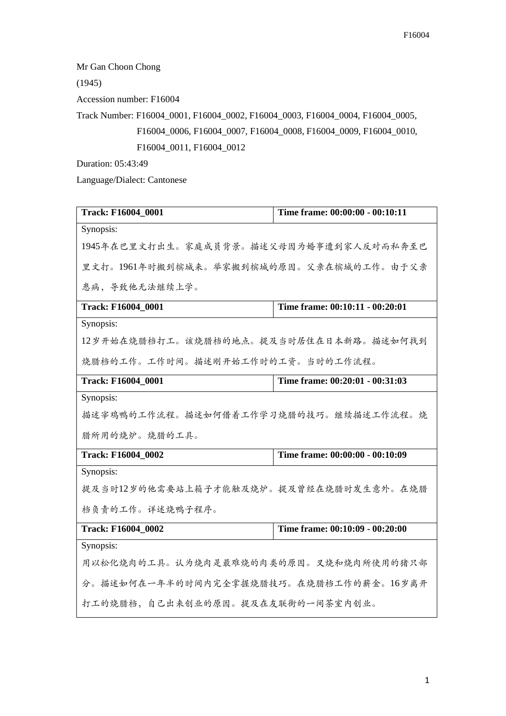Mr Gan Choon Chong

(1945)

Accession number: F16004

Track Number: F16004\_0001, F16004\_0002, F16004\_0003, F16004\_0004, F16004\_0005, F16004\_0006, F16004\_0007, F16004\_0008, F16004\_0009, F16004\_0010, F16004\_0011, F16004\_0012

Duration: 05:43:49

Language/Dialect: Cantonese

| Track: F16004_0001                     | Time frame: 00:00:00 - 00:10:11         |  |
|----------------------------------------|-----------------------------------------|--|
| Synopsis:                              |                                         |  |
|                                        | 1945年在巴里文打出生。家庭成员背景。描述父母因为婚事遭到家人反对而私奔至巴 |  |
|                                        | 里文打。1961年时搬到槟城来。举家搬到槟城的原因。父亲在槟城的工作。由于父亲 |  |
| 患病, 导致他无法继续上学。                         |                                         |  |
| Track: F16004_0001                     | Time frame: 00:10:11 - 00:20:01         |  |
| Synopsis:                              |                                         |  |
| 12岁开始在烧腊档打工。该烧腊档的地点。提及当时居住在日本新路。描述如何找到 |                                         |  |
| 烧腊档的工作。工作时间。描述刚开始工作时的工资。当时的工作流程。       |                                         |  |
| <b>Track: F16004 0001</b>              | Time frame: 00:20:01 - 00:31:03         |  |
| Synopsis:                              |                                         |  |
| 描述宰鸡鸭的工作流程。描述如何借着工作学习烧腊的技巧。继续描述工作流程。烧  |                                         |  |
| 腊所用的烧炉。烧腊的工具。                          |                                         |  |
| <b>Track: F16004 0002</b>              | Time frame: 00:00:00 - 00:10:09         |  |
| Synopsis:                              |                                         |  |
| 提及当时12岁的他需要站上箱子才能触及烧炉。提及曾经在烧腊时发生意外。在烧腊 |                                         |  |
| 档负责的工作。详述烧鸭子程序。                        |                                         |  |
| Track: F16004_0002                     | Time frame: 00:10:09 - 00:20:00         |  |
| Synopsis:                              |                                         |  |
| 用以松化烧肉的工具。认为烧肉是最难烧的肉类的原因。叉烧和烧肉所使用的猪只部  |                                         |  |
| 分。描述如何在一年半的时间内完全掌握烧腊技巧。在烧腊档工作的薪金。16岁离开 |                                         |  |
| 打工的烧腊档,自己出来创业的原因。提及在友联街的一间茶室内创业。       |                                         |  |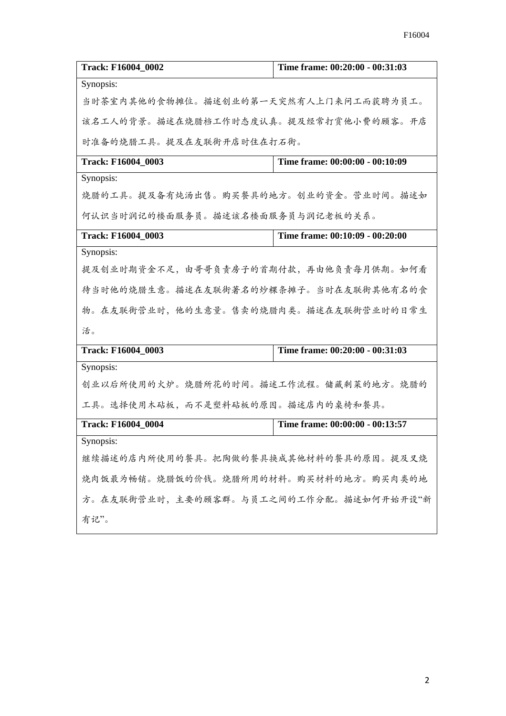| <b>Track: F16004 0002</b>              | Time frame: 00:20:00 - 00:31:03 |
|----------------------------------------|---------------------------------|
| Synopsis:                              |                                 |
| 当时茶室内其他的食物摊位。描述创业的第一天突然有人上门来问工而获聘为员工。  |                                 |
| 该名工人的背景。描述在烧腊档工作时态度认真。提及经常打赏他小费的顾客。开店  |                                 |
| 时准备的烧腊工具。提及在友联街开店时住在打石街。               |                                 |
| Track: F16004_0003                     | Time frame: 00:00:00 - 00:10:09 |
| Synopsis:                              |                                 |
| 烧腊的工具。提及备有炖汤出售。购买餐具的地方。创业的资金。营业时间。描述如  |                                 |
| 何认识当时润记的楼面服务员。描述该名楼面服务员与润记老板的关系。       |                                 |
| <b>Track: F16004 0003</b>              | Time frame: 00:10:09 - 00:20:00 |
| Synopsis:                              |                                 |
| 提及创业时期资金不足,由哥哥负责房子的首期付款,再由他负责每月供期。如何看  |                                 |
| 待当时他的烧腊生意。描述在友联街著名的炒粿条摊子。当时在友联街其他有名的食  |                                 |
| 物。在友联街营业时,他的生意量。售卖的烧腊肉类。描述在友联街营业时的日常生  |                                 |
| 活。                                     |                                 |
| Track: F16004_0003                     | Time frame: 00:20:00 - 00:31:03 |
| Synopsis:                              |                                 |
| 创业以后所使用的火炉。烧腊所花的时间。描述工作流程。储藏剩菜的地方。烧腊的  |                                 |
| 工具。选择使用木砧板,而不是塑料砧板的原因。描述店内的桌椅和餐具。      |                                 |
| <b>Track: F16004 0004</b>              | Time frame: 00:00:00 - 00:13:57 |
| Synopsis:                              |                                 |
| 继续描述的店内所使用的餐具。把陶做的餐具换成其他材料的餐具的原因。提及叉烧  |                                 |
| 烧肉饭最为畅销。烧腊饭的价钱。烧腊所用的材料。购买材料的地方。购买肉类的地  |                                 |
| 方。在友联街营业时,主要的顾客群。与员工之间的工作分配。描述如何开始开设"新 |                                 |
| 有记"。                                   |                                 |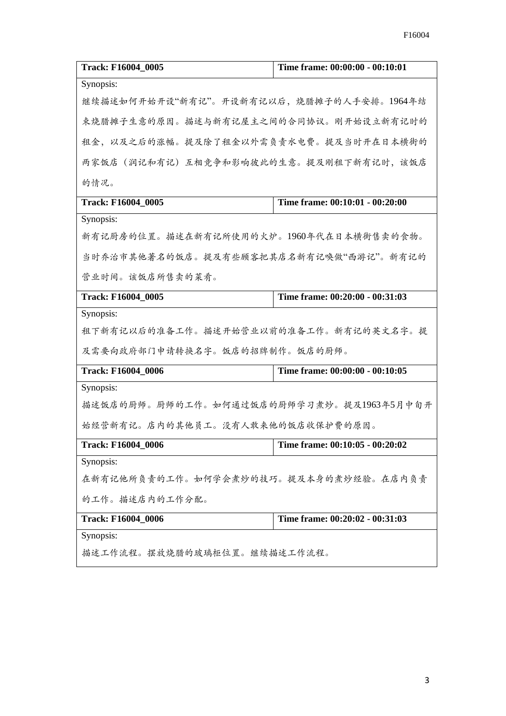| <b>Track: F16004_0005</b>                 | Time frame: 00:00:00 - 00:10:01 |  |
|-------------------------------------------|---------------------------------|--|
| Synopsis:                                 |                                 |  |
| 继续描述如何开始开设"新有记"。开设新有记以后, 烧腊摊子的人手安排。1964年结 |                                 |  |
| 束烧腊摊子生意的原因。描述与新有记屋主之间的合同协议。刚开始设立新有记时的     |                                 |  |
| 租金, 以及之后的涨幅。提及除了租金以外需负责水电费。提及当时开在日本横街的    |                                 |  |
| 两家饭店(润记和有记)互相竞争和影响彼此的生意。提及刚租下新有记时,该饭店     |                                 |  |
| 的情况。                                      |                                 |  |
| <b>Track: F16004_0005</b>                 | Time frame: 00:10:01 - 00:20:00 |  |
| Synopsis:                                 |                                 |  |
| 新有记厨房的位置。描述在新有记所使用的火炉。1960年代在日本横街售卖的食物。   |                                 |  |
| 当时乔治市其他著名的饭店。提及有些顾客把其店名新有记唤做"西游记"。新有记的    |                                 |  |
| 营业时间。该饭店所售卖的菜肴。                           |                                 |  |
| Track: F16004_0005                        | Time frame: 00:20:00 - 00:31:03 |  |
| Synopsis:                                 |                                 |  |
| 租下新有记以后的准备工作。描述开始营业以前的准备工作。新有记的英文名字。提     |                                 |  |
| 及需要向政府部门申请转换名字。饭店的招牌制作。饭店的厨师。             |                                 |  |
| <b>Track: F16004_0006</b>                 | Time frame: 00:00:00 - 00:10:05 |  |
| Synopsis:                                 |                                 |  |
| 描述饭店的厨师。厨师的工作。如何通过饭店的厨师学习煮炒。提及1963年5月中旬开  |                                 |  |
| 始经营新有记。店内的其他员工。没有人敢来他的饭店收保护费的原因。          |                                 |  |
| <b>Track: F16004_0006</b>                 | Time frame: 00:10:05 - 00:20:02 |  |
| Synopsis:                                 |                                 |  |
| 在新有记他所负责的工作。如何学会煮炒的技巧。提及本身的煮炒经验。在店内负责     |                                 |  |
| 的工作。描述店内的工作分配。                            |                                 |  |
| Track: F16004_0006                        | Time frame: 00:20:02 - 00:31:03 |  |
| Synopsis:                                 |                                 |  |
| 描述工作流程。摆放烧腊的玻璃柜位置。继续描述工作流程。               |                                 |  |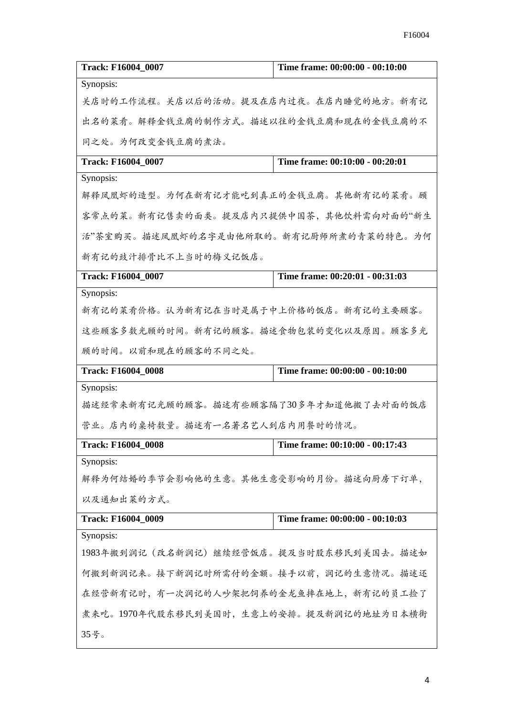| Track: F16004_0007                      | Time frame: 00:00:00 - 00:10:00       |  |
|-----------------------------------------|---------------------------------------|--|
| Synopsis:                               |                                       |  |
|                                         | 关店时的工作流程。关店以后的活动。提及在店内过夜。在店内睡觉的地方。新有记 |  |
|                                         | 出名的菜肴。解释金钱豆腐的制作方式。描述以往的金钱豆腐和现在的金钱豆腐的不 |  |
| 同之处。为何改变金钱豆腐的煮法。                        |                                       |  |
| <b>Track: F16004_0007</b>               | Time frame: 00:10:00 - 00:20:01       |  |
| Synopsis:                               |                                       |  |
| 解释凤凰虾的造型。为何在新有记才能吃到真正的金钱豆腐。其他新有记的菜肴。顾   |                                       |  |
| 客常点的菜。新有记售卖的面类。提及店内只提供中国茶,其他饮料需向对面的"新生  |                                       |  |
| 活"茶室购买。描述凤凰虾的名字是由他所取的。新有记厨师所煮的青菜的特色。为何  |                                       |  |
| 新有记的豉汁排骨比不上当时的梅义记饭店。                    |                                       |  |
| Track: F16004_0007                      | Time frame: 00:20:01 - 00:31:03       |  |
| Synopsis:                               |                                       |  |
| 新有记的菜肴价格。认为新有记在当时是属于中上价格的饭店。新有记的主要顾客。   |                                       |  |
| 这些顾客多数光顾的时间。新有记的顾客。描述食物包装的变化以及原因。顾客多光   |                                       |  |
| 顾的时间。以前和现在的顾客的不同之处。                     |                                       |  |
| <b>Track: F16004_0008</b>               | Time frame: 00:00:00 - 00:10:00       |  |
| Synopsis:                               |                                       |  |
| 描述经常来新有记光顾的顾客。描述有些顾客隔了30多年才知道他搬了去对面的饭店  |                                       |  |
| 营业。店内的桌椅数量。描述有一名著名艺人到店内用餐时的情况。          |                                       |  |
| <b>Track: F16004_0008</b>               | Time frame: 00:10:00 - 00:17:43       |  |
| Synopsis:                               |                                       |  |
| 解释为何结婚的季节会影响他的生意。其他生意受影响的月份。描述向厨房下订单,   |                                       |  |
| 以及通知出菜的方式。                              |                                       |  |
| Track: F16004_0009                      | Time frame: 00:00:00 - 00:10:03       |  |
| Synopsis:                               |                                       |  |
| 1983年搬到润记(改名新润记)继续经营饭店。提及当时股东移民到美国去。描述如 |                                       |  |
| 何搬到新润记来。接下新润记时所需付的金额。接手以前,润记的生意情况。描述还   |                                       |  |
| 在经营新有记时,有一次润记的人吵架把饲养的金龙鱼摔在地上,新有记的员工捡了   |                                       |  |
| 煮来吃。1970年代股东移民到美国时,生意上的安排。提及新润记的地址为日本横街 |                                       |  |
| 35号。                                    |                                       |  |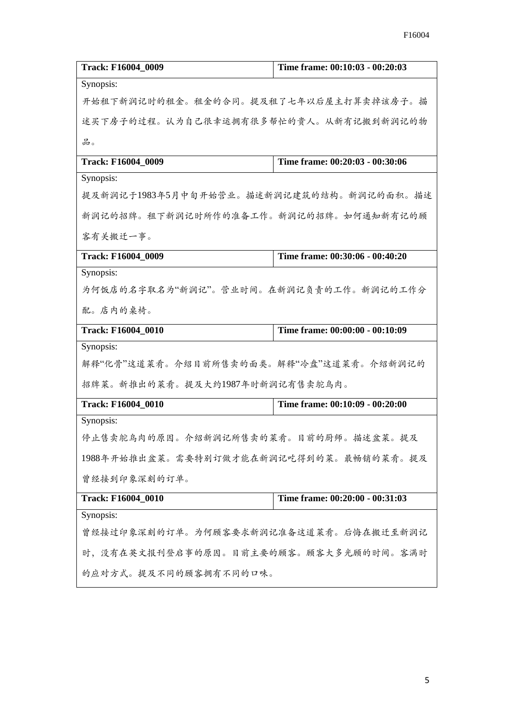| <b>Track: F16004_0009</b>                | Time frame: 00:10:03 - 00:20:03 |
|------------------------------------------|---------------------------------|
| Synopsis:                                |                                 |
| 开始租下新润记时的租金。租金的合同。提及租了七年以后屋主打算卖掉该房子。描    |                                 |
| 述买下房子的过程。认为自己很幸运拥有很多帮忙的贵人。从新有记搬到新润记的物    |                                 |
| 品。                                       |                                 |
| Track: F16004_0009                       | Time frame: 00:20:03 - 00:30:06 |
| Synopsis:                                |                                 |
| 提及新润记于1983年5月中旬开始营业。描述新润记建筑的结构。新润记的面积。描述 |                                 |
| 新润记的招牌。租下新润记时所作的准备工作。新润记的招牌。如何通知新有记的顾    |                                 |
| 客有关搬迁一事。                                 |                                 |
| Track: F16004_0009                       | Time frame: 00:30:06 - 00:40:20 |
| Synopsis:                                |                                 |
| 为何饭店的名字取名为"新润记"。营业时间。在新润记负责的工作。新润记的工作分   |                                 |
| 配。店内的桌椅。                                 |                                 |
| Track: F16004_0010                       | Time frame: 00:00:00 - 00:10:09 |
| Synopsis:                                |                                 |
| 解释"化骨"这道菜肴。介绍目前所售卖的面类。解释"冷盘"这道菜肴。介绍新润记的  |                                 |
| 招牌菜。新推出的菜肴。提及大约1987年时新润记有售卖鸵鸟肉。          |                                 |
| Track: F16004_0010                       | Time frame: 00:10:09 - 00:20:00 |
| Synopsis:                                |                                 |
| 停止售卖鸵鸟肉的原因。介绍新润记所售卖的菜肴。目前的厨师。描述盆菜。提及     |                                 |
| 1988年开始推出盆菜。需要特别订做才能在新润记吃得到的菜。最畅销的菜肴。提及  |                                 |
| 曾经接到印象深刻的订单。                             |                                 |
| <b>Track: F16004_0010</b>                | Time frame: 00:20:00 - 00:31:03 |
| Synopsis:                                |                                 |
| 曾经接过印象深刻的订单。为何顾客要求新润记准备这道菜肴。后悔在搬迁至新润记    |                                 |
| 时,没有在英文报刊登启事的原因。目前主要的顾客。顾客大多光顾的时间。客满时    |                                 |
| 的应对方式。提及不同的顾客拥有不同的口味。                    |                                 |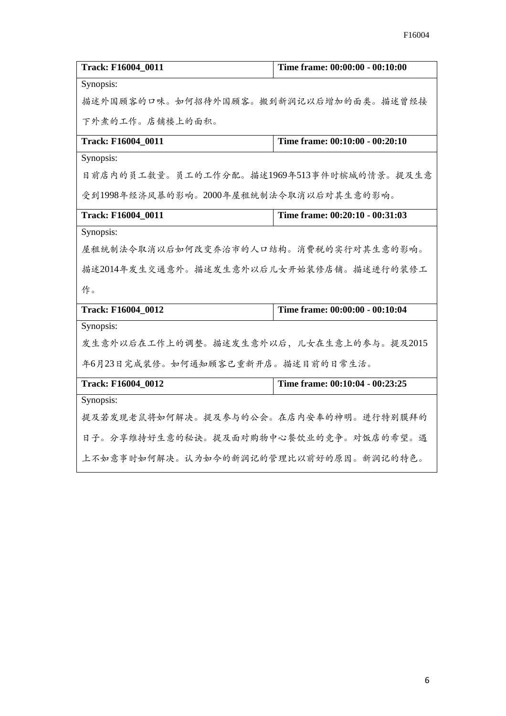| Track: F16004 0011                        | Time frame: 00:00:00 - 00:10:00 |  |
|-------------------------------------------|---------------------------------|--|
| Synopsis:                                 |                                 |  |
| 描述外国顾客的口味。如何招待外国顾客。搬到新润记以后增加的面类。描述曾经接     |                                 |  |
| 下外煮的工作。店铺楼上的面积。                           |                                 |  |
| Track: F16004_0011                        | Time frame: 00:10:00 - 00:20:10 |  |
| Synopsis:                                 |                                 |  |
| 目前店内的员工数量。员工的工作分配。描述1969年513事件时槟城的情景。提及生意 |                                 |  |
| 受到1998年经济风暴的影响。2000年屋租统制法令取消以后对其生意的影响。    |                                 |  |
| Track: F16004_0011                        | Time frame: 00:20:10 - 00:31:03 |  |
| Synopsis:                                 |                                 |  |
| 屋租统制法令取消以后如何改变乔治市的人口结构。消费税的实行对其生意的影响。     |                                 |  |
| 描述2014年发生交通意外。描述发生意外以后儿女开始装修店铺。描述进行的装修工   |                                 |  |
| 作。                                        |                                 |  |
| <b>Track: F16004 0012</b>                 | Time frame: 00:00:00 - 00:10:04 |  |
| Synopsis:                                 |                                 |  |
| 发生意外以后在工作上的调整。描述发生意外以后,儿女在生意上的参与。提及2015   |                                 |  |
| 年6月23日完成装修。如何通知顾客已重新开店。描述目前的日常生活。         |                                 |  |
| Track: F16004_0012                        | Time frame: 00:10:04 - 00:23:25 |  |
| Synopsis:                                 |                                 |  |
| 提及若发现老鼠将如何解决。提及参与的公会。在店内安奉的神明。进行特别膜拜的     |                                 |  |
| 日子。分享维持好生意的秘诀。提及面对购物中心餐饮业的竞争。对饭店的希望。遇     |                                 |  |
| 上不如意事时如何解决。认为如今的新润记的管理比以前好的原因。新润记的特色。     |                                 |  |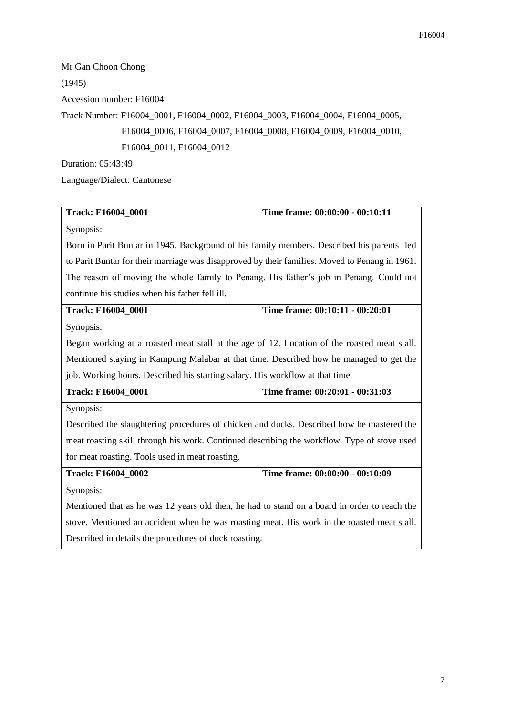| Mr Gan Choon Chong                                                             |
|--------------------------------------------------------------------------------|
| (1945)                                                                         |
| Accession number: F16004                                                       |
| Track Number: F16004 0001, F16004 0002, F16004 0003, F16004 0004, F16004 0005, |
| F16004_0006, F16004_0007, F16004_0008, F16004_0009, F16004_0010,               |
| F16004 0011, F16004 0012                                                       |
| <b>Duration: 05:43:49</b>                                                      |

Language/Dialect: Cantonese

| Track: F16004_0001                                                                             | Time frame: 00:00:00 - 00:10:11 |  |
|------------------------------------------------------------------------------------------------|---------------------------------|--|
| Synopsis:                                                                                      |                                 |  |
| Born in Parit Buntar in 1945. Background of his family members. Described his parents fled     |                                 |  |
| to Parit Buntar for their marriage was disapproved by their families. Moved to Penang in 1961. |                                 |  |
| The reason of moving the whole family to Penang. His father's job in Penang. Could not         |                                 |  |
| continue his studies when his father fell ill.                                                 |                                 |  |
| <b>Track: F16004_0001</b>                                                                      | Time frame: 00:10:11 - 00:20:01 |  |
| Synopsis:                                                                                      |                                 |  |
| Began working at a roasted meat stall at the age of 12. Location of the roasted meat stall.    |                                 |  |
| Mentioned staying in Kampung Malabar at that time. Described how he managed to get the         |                                 |  |
| job. Working hours. Described his starting salary. His workflow at that time.                  |                                 |  |
| Track: F16004_0001                                                                             | Time frame: 00:20:01 - 00:31:03 |  |
| Synopsis:                                                                                      |                                 |  |
| Described the slaughtering procedures of chicken and ducks. Described how he mastered the      |                                 |  |
| meat roasting skill through his work. Continued describing the workflow. Type of stove used    |                                 |  |
| for meat roasting. Tools used in meat roasting.                                                |                                 |  |
| Track: F16004_0002                                                                             | Time frame: 00:00:00 - 00:10:09 |  |
| Synopsis:                                                                                      |                                 |  |
| Mentioned that as he was 12 years old then, he had to stand on a board in order to reach the   |                                 |  |
| stove. Mentioned an accident when he was roasting meat. His work in the roasted meat stall.    |                                 |  |
| Described in details the procedures of duck roasting.                                          |                                 |  |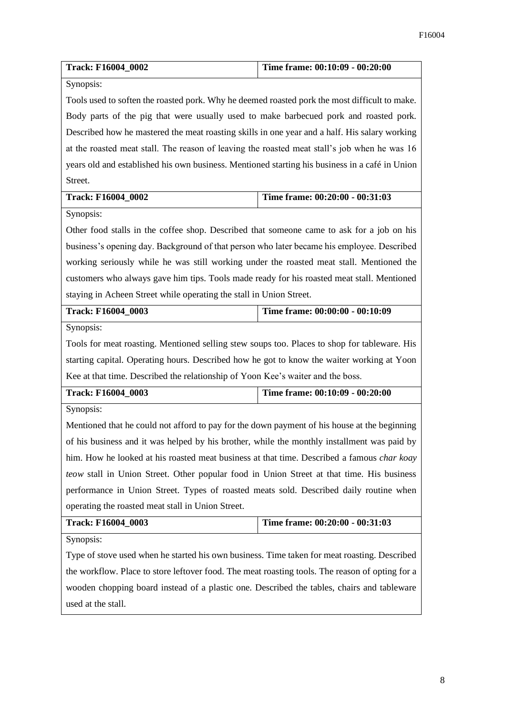| Track: F16004_0002                                                                                | Time frame: 00:10:09 - 00:20:00 |  |
|---------------------------------------------------------------------------------------------------|---------------------------------|--|
| Synopsis:                                                                                         |                                 |  |
| Tools used to soften the roasted pork. Why he deemed roasted pork the most difficult to make.     |                                 |  |
| Body parts of the pig that were usually used to make barbecued pork and roasted pork.             |                                 |  |
| Described how he mastered the meat roasting skills in one year and a half. His salary working     |                                 |  |
| at the roasted meat stall. The reason of leaving the roasted meat stall's job when he was 16      |                                 |  |
| years old and established his own business. Mentioned starting his business in a café in Union    |                                 |  |
| Street.                                                                                           |                                 |  |
| Track: F16004_0002                                                                                | Time frame: 00:20:00 - 00:31:03 |  |
| Synopsis:                                                                                         |                                 |  |
| Other food stalls in the coffee shop. Described that someone came to ask for a job on his         |                                 |  |
| business's opening day. Background of that person who later became his employee. Described        |                                 |  |
| working seriously while he was still working under the roasted meat stall. Mentioned the          |                                 |  |
| customers who always gave him tips. Tools made ready for his roasted meat stall. Mentioned        |                                 |  |
| staying in Acheen Street while operating the stall in Union Street.                               |                                 |  |
| Track: F16004_0003                                                                                | Time frame: 00:00:00 - 00:10:09 |  |
| Synopsis:                                                                                         |                                 |  |
| Tools for meat roasting. Mentioned selling stew soups too. Places to shop for tableware. His      |                                 |  |
| starting capital. Operating hours. Described how he got to know the waiter working at Yoon        |                                 |  |
| Kee at that time. Described the relationship of Yoon Kee's waiter and the boss.                   |                                 |  |
| Track: F16004_0003                                                                                | Time frame: 00:10:09 - 00:20:00 |  |
| Synopsis:                                                                                         |                                 |  |
| Mentioned that he could not afford to pay for the down payment of his house at the beginning      |                                 |  |
| of his business and it was helped by his brother, while the monthly installment was paid by       |                                 |  |
| him. How he looked at his roasted meat business at that time. Described a famous <i>char koay</i> |                                 |  |
| teow stall in Union Street. Other popular food in Union Street at that time. His business         |                                 |  |
| performance in Union Street. Types of roasted meats sold. Described daily routine when            |                                 |  |
| operating the roasted meat stall in Union Street.                                                 |                                 |  |
| Track: F16004_0003                                                                                | Time frame: 00:20:00 - 00:31:03 |  |
| Synopsis:                                                                                         |                                 |  |
| Type of stove used when he started his own business. Time taken for meat roasting. Described      |                                 |  |
| the workflow. Place to store leftover food. The meat roasting tools. The reason of opting for a   |                                 |  |
| wooden chopping board instead of a plastic one. Described the tables, chairs and tableware        |                                 |  |
| used at the stall.                                                                                |                                 |  |
|                                                                                                   |                                 |  |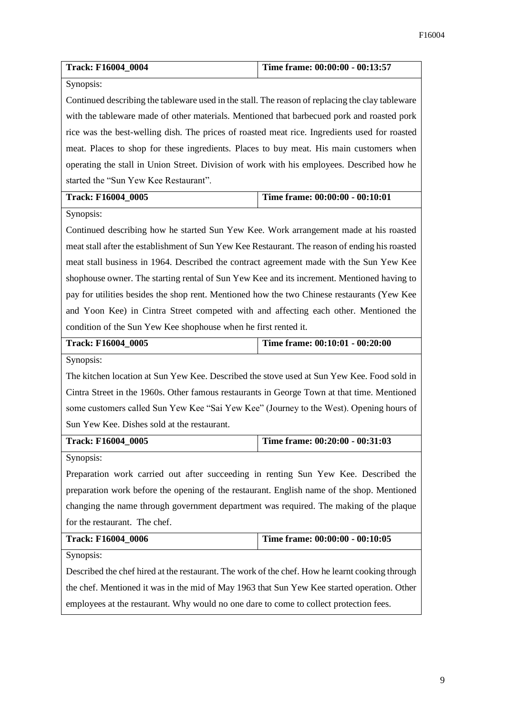| Track: F16004_0004                                                                               | Time frame: 00:00:00 - 00:13:57 |  |
|--------------------------------------------------------------------------------------------------|---------------------------------|--|
| Synopsis:                                                                                        |                                 |  |
| Continued describing the tableware used in the stall. The reason of replacing the clay tableware |                                 |  |
| with the tableware made of other materials. Mentioned that barbecued pork and roasted pork       |                                 |  |
| rice was the best-welling dish. The prices of roasted meat rice. Ingredients used for roasted    |                                 |  |
| meat. Places to shop for these ingredients. Places to buy meat. His main customers when          |                                 |  |
| operating the stall in Union Street. Division of work with his employees. Described how he       |                                 |  |
| started the "Sun Yew Kee Restaurant".                                                            |                                 |  |
| Track: F16004_0005                                                                               | Time frame: 00:00:00 - 00:10:01 |  |
| Synopsis:                                                                                        |                                 |  |
| Continued describing how he started Sun Yew Kee. Work arrangement made at his roasted            |                                 |  |
| meat stall after the establishment of Sun Yew Kee Restaurant. The reason of ending his roasted   |                                 |  |
| meat stall business in 1964. Described the contract agreement made with the Sun Yew Kee          |                                 |  |
| shophouse owner. The starting rental of Sun Yew Kee and its increment. Mentioned having to       |                                 |  |
| pay for utilities besides the shop rent. Mentioned how the two Chinese restaurants (Yew Kee      |                                 |  |
| and Yoon Kee) in Cintra Street competed with and affecting each other. Mentioned the             |                                 |  |
| condition of the Sun Yew Kee shophouse when he first rented it.                                  |                                 |  |
| Track: F16004_0005                                                                               | Time frame: 00:10:01 - 00:20:00 |  |
| Synopsis:                                                                                        |                                 |  |
| The kitchen location at Sun Yew Kee. Described the stove used at Sun Yew Kee. Food sold in       |                                 |  |
| Cintra Street in the 1960s. Other famous restaurants in George Town at that time. Mentioned      |                                 |  |
| some customers called Sun Yew Kee "Sai Yew Kee" (Journey to the West). Opening hours of          |                                 |  |
| Sun Yew Kee. Dishes sold at the restaurant.                                                      |                                 |  |
| <b>Track: F16004 0005</b>                                                                        | Time frame: 00:20:00 - 00:31:03 |  |
| Synopsis:                                                                                        |                                 |  |
| Preparation work carried out after succeeding in renting Sun Yew Kee. Described the              |                                 |  |
| preparation work before the opening of the restaurant. English name of the shop. Mentioned       |                                 |  |
| changing the name through government department was required. The making of the plaque           |                                 |  |
| for the restaurant. The chef.                                                                    |                                 |  |
| Track: F16004_0006                                                                               | Time frame: 00:00:00 - 00:10:05 |  |
| Synopsis:                                                                                        |                                 |  |
| Described the chef hired at the restaurant. The work of the chef. How he learnt cooking through  |                                 |  |
| the chef. Mentioned it was in the mid of May 1963 that Sun Yew Kee started operation. Other      |                                 |  |
| employees at the restaurant. Why would no one dare to come to collect protection fees.           |                                 |  |
|                                                                                                  |                                 |  |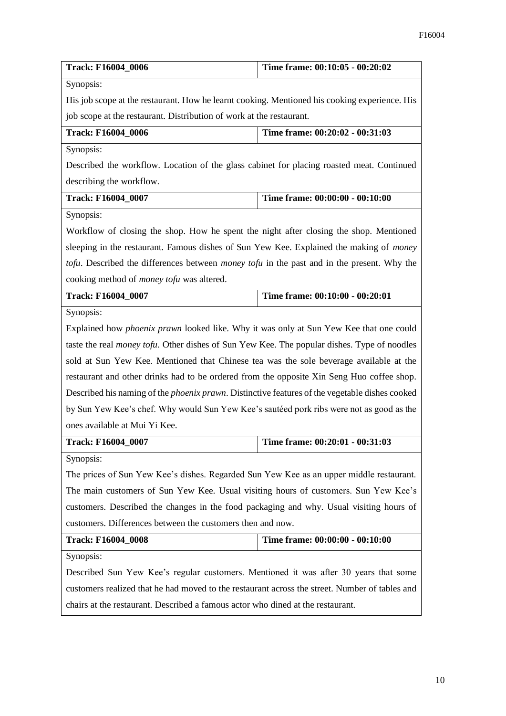| Track: F16004_0006                                                                                     | Time frame: 00:10:05 - 00:20:02 |  |
|--------------------------------------------------------------------------------------------------------|---------------------------------|--|
| Synopsis:                                                                                              |                                 |  |
| His job scope at the restaurant. How he learnt cooking. Mentioned his cooking experience. His          |                                 |  |
| job scope at the restaurant. Distribution of work at the restaurant.                                   |                                 |  |
| Track: F16004_0006                                                                                     | Time frame: 00:20:02 - 00:31:03 |  |
| Synopsis:                                                                                              |                                 |  |
| Described the workflow. Location of the glass cabinet for placing roasted meat. Continued              |                                 |  |
| describing the workflow.                                                                               |                                 |  |
| Track: F16004_0007                                                                                     | Time frame: 00:00:00 - 00:10:00 |  |
| Synopsis:                                                                                              |                                 |  |
| Workflow of closing the shop. How he spent the night after closing the shop. Mentioned                 |                                 |  |
| sleeping in the restaurant. Famous dishes of Sun Yew Kee. Explained the making of <i>money</i>         |                                 |  |
| tofu. Described the differences between <i>money tofu</i> in the past and in the present. Why the      |                                 |  |
| cooking method of <i>money tofu</i> was altered.                                                       |                                 |  |
| Track: F16004_0007                                                                                     | Time frame: 00:10:00 - 00:20:01 |  |
| Synopsis:                                                                                              |                                 |  |
| Explained how <i>phoenix prawn</i> looked like. Why it was only at Sun Yew Kee that one could          |                                 |  |
| taste the real <i>money tofu</i> . Other dishes of Sun Yew Kee. The popular dishes. Type of noodles    |                                 |  |
| sold at Sun Yew Kee. Mentioned that Chinese tea was the sole beverage available at the                 |                                 |  |
| restaurant and other drinks had to be ordered from the opposite Xin Seng Huo coffee shop.              |                                 |  |
| Described his naming of the <i>phoenix prawn</i> . Distinctive features of the vegetable dishes cooked |                                 |  |
| by Sun Yew Kee's chef. Why would Sun Yew Kee's sautéed pork ribs were not as good as the               |                                 |  |
| ones available at Mui Yi Kee.                                                                          |                                 |  |
| <b>Track: F16004_0007</b>                                                                              | Time frame: 00:20:01 - 00:31:03 |  |
| Synopsis:                                                                                              |                                 |  |
| The prices of Sun Yew Kee's dishes. Regarded Sun Yew Kee as an upper middle restaurant.                |                                 |  |
| The main customers of Sun Yew Kee. Usual visiting hours of customers. Sun Yew Kee's                    |                                 |  |
| customers. Described the changes in the food packaging and why. Usual visiting hours of                |                                 |  |
| customers. Differences between the customers then and now.                                             |                                 |  |
| Track: F16004_0008                                                                                     | Time frame: 00:00:00 - 00:10:00 |  |
| Synopsis:                                                                                              |                                 |  |
| Described Sun Yew Kee's regular customers. Mentioned it was after 30 years that some                   |                                 |  |
| customers realized that he had moved to the restaurant across the street. Number of tables and         |                                 |  |
| chairs at the restaurant. Described a famous actor who dined at the restaurant.                        |                                 |  |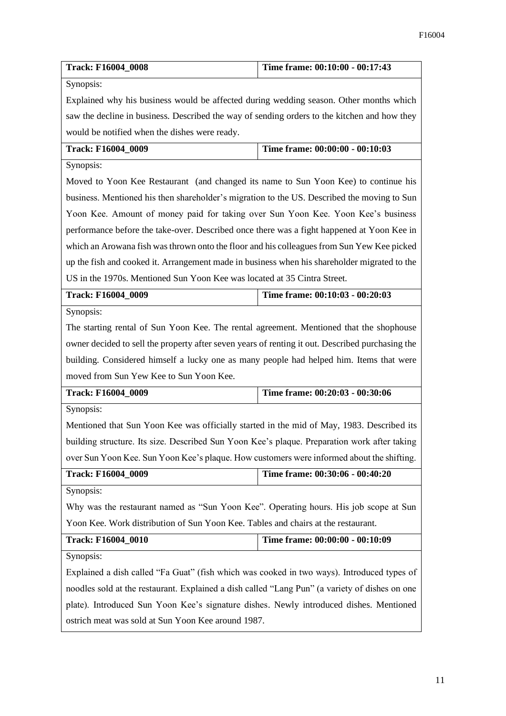| <b>Track: F16004_0008</b>                                                                        | Time frame: 00:10:00 - 00:17:43 |  |
|--------------------------------------------------------------------------------------------------|---------------------------------|--|
| Synopsis:                                                                                        |                                 |  |
| Explained why his business would be affected during wedding season. Other months which           |                                 |  |
| saw the decline in business. Described the way of sending orders to the kitchen and how they     |                                 |  |
| would be notified when the dishes were ready.                                                    |                                 |  |
| Track: F16004 0009<br>Time frame: 00:00:00 - 00:10:03                                            |                                 |  |
| Synopsis:                                                                                        |                                 |  |
| Moved to Yoon Kee Restaurant (and changed its name to Sun Yoon Kee) to continue his              |                                 |  |
| business. Mentioned his then shareholder's migration to the US. Described the moving to Sun      |                                 |  |
| Yoon Kee. Amount of money paid for taking over Sun Yoon Kee. Yoon Kee's business                 |                                 |  |
| performance before the take-over. Described once there was a fight happened at Yoon Kee in       |                                 |  |
| which an Arowana fish was thrown onto the floor and his colleagues from Sun Yew Kee picked       |                                 |  |
| up the fish and cooked it. Arrangement made in business when his shareholder migrated to the     |                                 |  |
| US in the 1970s. Mentioned Sun Yoon Kee was located at 35 Cintra Street.                         |                                 |  |
| Track: F16004_0009                                                                               | Time frame: 00:10:03 - 00:20:03 |  |
| Synopsis:                                                                                        |                                 |  |
| The starting rental of Sun Yoon Kee. The rental agreement. Mentioned that the shophouse          |                                 |  |
| owner decided to sell the property after seven years of renting it out. Described purchasing the |                                 |  |
| building. Considered himself a lucky one as many people had helped him. Items that were          |                                 |  |
| moved from Sun Yew Kee to Sun Yoon Kee.                                                          |                                 |  |
| Time frame: 00:20:03 - 00:30:06<br>Track: F16004_0009                                            |                                 |  |
| Synopsis:                                                                                        |                                 |  |
| Mentioned that Sun Yoon Kee was officially started in the mid of May, 1983. Described its        |                                 |  |
| building structure. Its size. Described Sun Yoon Kee's plaque. Preparation work after taking     |                                 |  |
| over Sun Yoon Kee. Sun Yoon Kee's plaque. How customers were informed about the shifting.        |                                 |  |
| Track: F16004_0009                                                                               | Time frame: 00:30:06 - 00:40:20 |  |
| Synopsis:                                                                                        |                                 |  |
| Why was the restaurant named as "Sun Yoon Kee". Operating hours. His job scope at Sun            |                                 |  |
| Yoon Kee. Work distribution of Sun Yoon Kee. Tables and chairs at the restaurant.                |                                 |  |
| Track: F16004_0010<br>Time frame: 00:00:00 - 00:10:09                                            |                                 |  |
| Synopsis:                                                                                        |                                 |  |
| Explained a dish called "Fa Guat" (fish which was cooked in two ways). Introduced types of       |                                 |  |
| noodles sold at the restaurant. Explained a dish called "Lang Pun" (a variety of dishes on one   |                                 |  |
| plate). Introduced Sun Yoon Kee's signature dishes. Newly introduced dishes. Mentioned           |                                 |  |
| ostrich meat was sold at Sun Yoon Kee around 1987.                                               |                                 |  |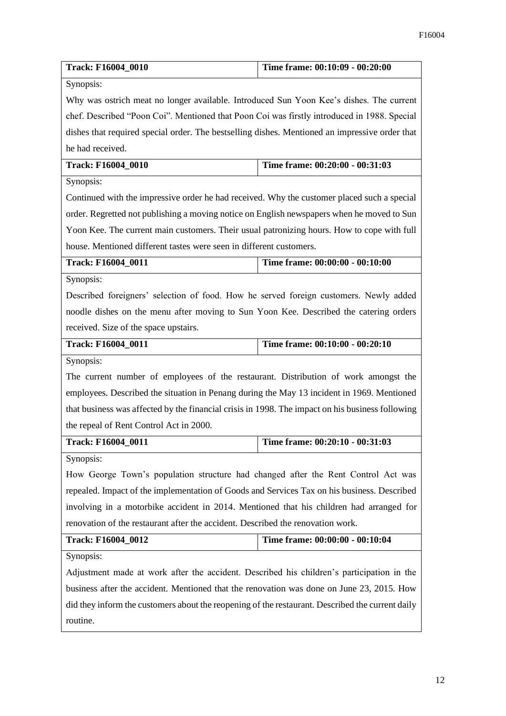| Track: F16004_0010                                                                               | Time frame: 00:10:09 - 00:20:00 |  |
|--------------------------------------------------------------------------------------------------|---------------------------------|--|
| Synopsis:                                                                                        |                                 |  |
| Why was ostrich meat no longer available. Introduced Sun Yoon Kee's dishes. The current          |                                 |  |
| chef. Described "Poon Coi". Mentioned that Poon Coi was firstly introduced in 1988. Special      |                                 |  |
| dishes that required special order. The bestselling dishes. Mentioned an impressive order that   |                                 |  |
| he had received.                                                                                 |                                 |  |
| Track: F16004_0010                                                                               | Time frame: 00:20:00 - 00:31:03 |  |
| Synopsis:                                                                                        |                                 |  |
| Continued with the impressive order he had received. Why the customer placed such a special      |                                 |  |
| order. Regretted not publishing a moving notice on English newspapers when he moved to Sun       |                                 |  |
| Yoon Kee. The current main customers. Their usual patronizing hours. How to cope with full       |                                 |  |
| house. Mentioned different tastes were seen in different customers.                              |                                 |  |
| <b>Track: F16004_0011</b>                                                                        | Time frame: 00:00:00 - 00:10:00 |  |
| Synopsis:                                                                                        |                                 |  |
| Described foreigners' selection of food. How he served foreign customers. Newly added            |                                 |  |
| noodle dishes on the menu after moving to Sun Yoon Kee. Described the catering orders            |                                 |  |
| received. Size of the space upstairs.                                                            |                                 |  |
| <b>Track: F16004_0011</b>                                                                        | Time frame: 00:10:00 - 00:20:10 |  |
| Synopsis:                                                                                        |                                 |  |
| The current number of employees of the restaurant. Distribution of work amongst the              |                                 |  |
| employees. Described the situation in Penang during the May 13 incident in 1969. Mentioned       |                                 |  |
| that business was affected by the financial crisis in 1998. The impact on his business following |                                 |  |
| the repeal of Rent Control Act in 2000.                                                          |                                 |  |
| <b>Track: F16004_0011</b>                                                                        | Time frame: 00:20:10 - 00:31:03 |  |
| Synopsis:                                                                                        |                                 |  |
| How George Town's population structure had changed after the Rent Control Act was                |                                 |  |
| repealed. Impact of the implementation of Goods and Services Tax on his business. Described      |                                 |  |
| involving in a motorbike accident in 2014. Mentioned that his children had arranged for          |                                 |  |
| renovation of the restaurant after the accident. Described the renovation work.                  |                                 |  |
| <b>Track: F16004_0012</b>                                                                        | Time frame: 00:00:00 - 00:10:04 |  |
| Synopsis:                                                                                        |                                 |  |
| Adjustment made at work after the accident. Described his children's participation in the        |                                 |  |
| business after the accident. Mentioned that the renovation was done on June 23, 2015. How        |                                 |  |
| did they inform the customers about the reopening of the restaurant. Described the current daily |                                 |  |
| routine.                                                                                         |                                 |  |